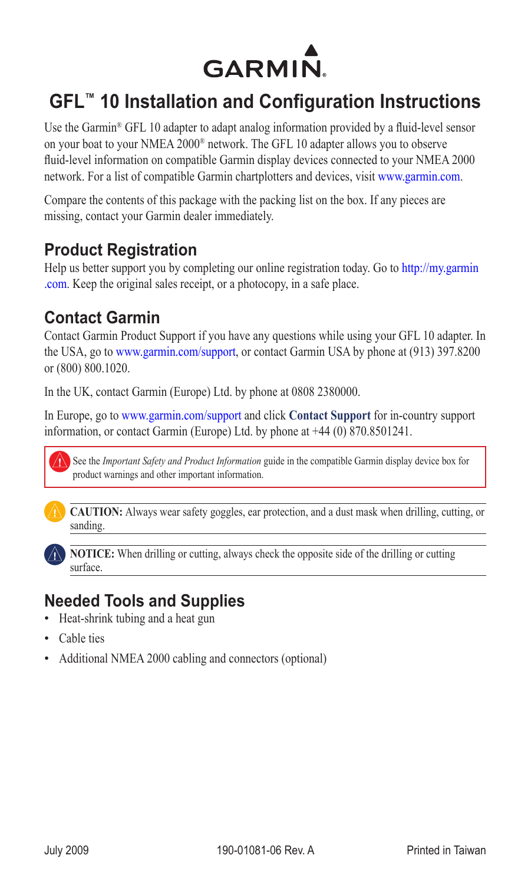

# **GFL™ 10 Installation and Configuration Instructions**

Use the Garmin® GFL 10 adapter to adapt analog information provided by a fluid-level sensor on your boat to your NMEA 2000® network. The GFL 10 adapter allows you to observe fluid-level information on compatible Garmin display devices connected to your NMEA 2000 network. For a list of compatible Garmin chartplotters and devices, visit [www.garmin.co](www.garmin.com)m.

Compare the contents of this package with the packing list on the box. If any pieces are missing, contact your Garmin dealer immediately.

## **Product Registration**

Help us better support you by completing our online registration today. Go to [http://my.garmin](http://my.garmin.com) [.co](http://my.garmin.com)m. Keep the original sales receipt, or a photocopy, in a safe place.

## **Contact Garmin**

Contact Garmin Product Support if you have any questions while using your GFL 10 adapter. In the USA, go to www.garmin.com/support, or contact Garmin USA by phone at (913) 397.8200 or (800) 800.1020.

In the UK, contact Garmin (Europe) Ltd. by phone at 0808 2380000.

In Europe, go to www.garmin.com/support and click **Contact Support** for in-country support information, or contact Garmin (Europe) Ltd. by phone at +44 (0) 870.8501241.



See the *Important Safety and Product Information* guide in the compatible Garmin display device box for product warnings and other important information.



**CAUTION:** Always wear safety goggles, ear protection, and a dust mask when drilling, cutting, or sanding.



**NOTICE:** When drilling or cutting, always check the opposite side of the drilling or cutting surface.

## **Needed Tools and Supplies**

- Heat-shrink tubing and a heat gun
- Cable ties
- Additional NMEA 2000 cabling and connectors (optional)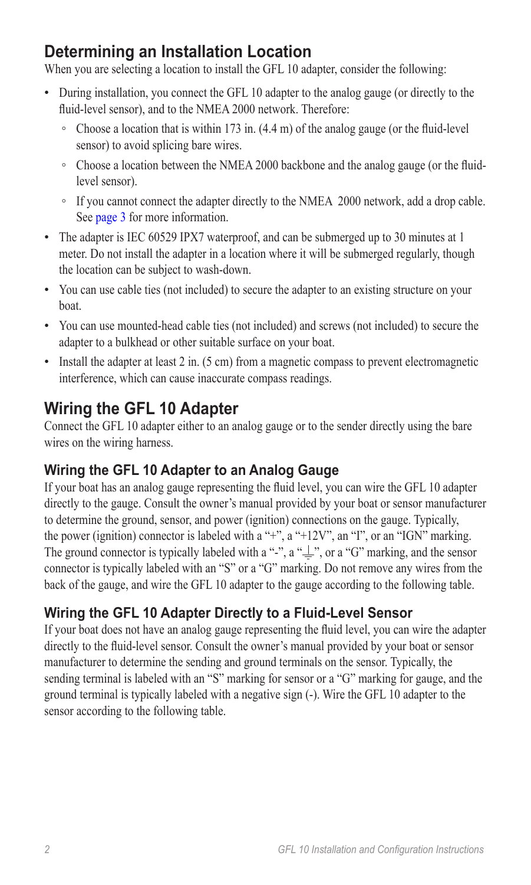# **Determining an Installation Location**

When you are selecting a location to install the GFL 10 adapter, consider the following:

- During installation, you connect the GFL 10 adapter to the analog gauge (or directly to the fluid-level sensor), and to the NMEA 2000 network. Therefore:
	- Choose a location that is within 173 in. (4.4 m) of the analog gauge (or the fluid-level sensor) to avoid splicing bare wires.
	- Choose a location between the NMEA 2000 backbone and the analog gauge (or the fluidlevel sensor).
	- If you cannot connect the adapter directly to the NMEA 2000 network, add a drop cable. See [page 3](#page-2-0) for more information.
- The adapter is IEC 60529 IPX7 waterproof, and can be submerged up to 30 minutes at 1 meter. Do not install the adapter in a location where it will be submerged regularly, though the location can be subject to wash-down.
- You can use cable ties (not included) to secure the adapter to an existing structure on your boat.
- You can use mounted-head cable ties (not included) and screws (not included) to secure the adapter to a bulkhead or other suitable surface on your boat.
- Install the adapter at least 2 in. (5 cm) from a magnetic compass to prevent electromagnetic interference, which can cause inaccurate compass readings.

# **Wiring the GFL 10 Adapter**

Connect the GFL 10 adapter either to an analog gauge or to the sender directly using the bare wires on the wiring harness.

## **Wiring the GFL 10 Adapter to an Analog Gauge**

If your boat has an analog gauge representing the fluid level, you can wire the GFL 10 adapter directly to the gauge. Consult the owner's manual provided by your boat or sensor manufacturer to determine the ground, sensor, and power (ignition) connections on the gauge. Typically, the power (ignition) connector is labeled with a "+", a "+12V", an "I", or an "IGN" marking. The ground connector is typically labeled with a "-", a " $\equiv$ ", or a "G" marking, and the sensor connector is typically labeled with an "S" or a "G" marking. Do not remove any wires from the back of the gauge, and wire the GFL 10 adapter to the gauge according to the following table.

## **Wiring the GFL 10 Adapter Directly to a Fluid-Level Sensor**

If your boat does not have an analog gauge representing the fluid level, you can wire the adapter directly to the fluid-level sensor. Consult the owner's manual provided by your boat or sensor manufacturer to determine the sending and ground terminals on the sensor. Typically, the sending terminal is labeled with an "S" marking for sensor or a "G" marking for gauge, and the ground terminal is typically labeled with a negative sign (-). Wire the GFL 10 adapter to the sensor according to the following table.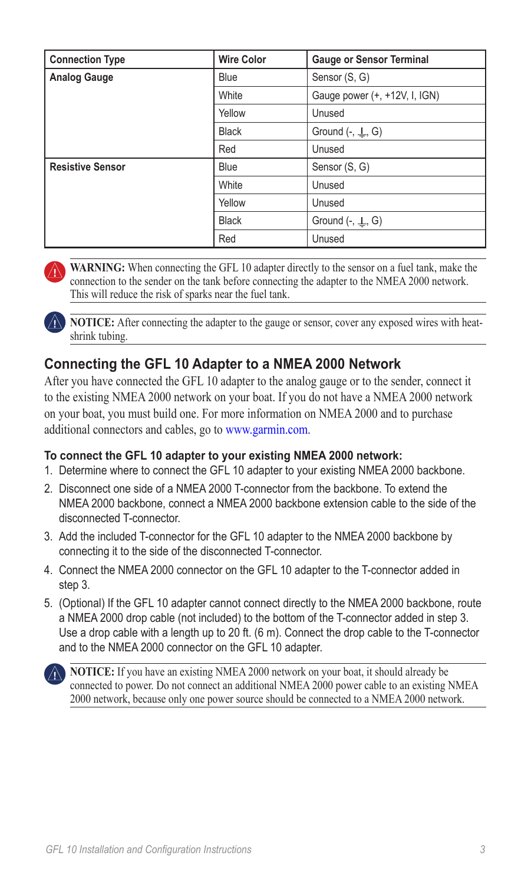| <b>Connection Type</b>  | <b>Wire Color</b> | <b>Gauge or Sensor Terminal</b> |
|-------------------------|-------------------|---------------------------------|
| <b>Analog Gauge</b>     | <b>Blue</b>       | Sensor (S, G)                   |
|                         | White             | Gauge power (+, +12V, I, IGN)   |
|                         | Yellow            | Unused                          |
|                         | <b>Black</b>      | Ground $(-, \perp, G)$          |
|                         | Red               | Unused                          |
| <b>Resistive Sensor</b> | <b>Blue</b>       | Sensor (S, G)                   |
|                         | White             | Unused                          |
|                         | Yellow            | Unused                          |
|                         | <b>Black</b>      | Ground $(-, \perp, G)$          |
|                         | Red               | Unused                          |

WARNING: When connecting the GFL 10 adapter directly to the sensor on a fuel tank, make the connection to the sender on the tank before connecting the adapter to the NMEA 2000 network. This will reduce the risk of sparks near the fuel tank.

**NOTICE:** After connecting the adapter to the gauge or sensor, cover any exposed wires with heatshrink tubing.

### <span id="page-2-0"></span>**Connecting the GFL 10 Adapter to a NMEA 2000 Network**

After you have connected the GFL 10 adapter to the analog gauge or to the sender, connect it to the existing NMEA 2000 network on your boat. If you do not have a NMEA 2000 network on your boat, you must build one. For more information on NMEA 2000 and to purchase additional connectors and cables, go t[o www.garmin.co](www.garmin.com/)m.

#### **To connect the GFL 10 adapter to your existing NMEA 2000 network:**

- 1. Determine where to connect the GFL 10 adapter to your existing NMEA 2000 backbone.
- 2. Disconnect one side of a NMEA 2000 T-connector from the backbone. To extend the NMEA 2000 backbone, connect a NMEA 2000 backbone extension cable to the side of the disconnected T-connector.
- 3. Add the included T-connector for the GFL 10 adapter to the NMEA 2000 backbone by connecting it to the side of the disconnected T-connector.
- 4. Connect the NMEA 2000 connector on the GFL 10 adapter to the T-connector added in step 3.
- 5. (Optional) If the GFL 10 adapter cannot connect directly to the NMEA 2000 backbone, route a NMEA 2000 drop cable (not included) to the bottom of the T-connector added in step 3. Use a drop cable with a length up to 20 ft. (6 m). Connect the drop cable to the T-connector and to the NMEA 2000 connector on the GFL 10 adapter.

**NOTICE:** If you have an existing NMEA 2000 network on your boat, it should already be connected to power. Do not connect an additional NMEA 2000 power cable to an existing NMEA 2000 network, because only one power source should be connected to a NMEA 2000 network.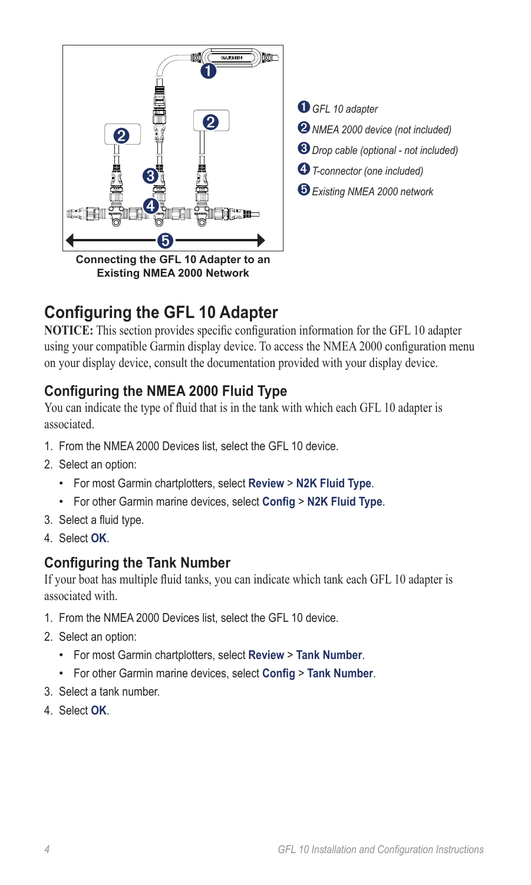

**Existing NMEA 2000 Network**

 *GFL <sup>10</sup> adapter NMEA 2000 device (not included) Drop cable (optional - not included) T-connector (one included) Existing NMEA 2000 network*

## **Configuring the GFL 10 Adapter**

**NOTICE:** This section provides specific configuration information for the GFL 10 adapter using your compatible Garmin display device. To access the NMEA 2000 configuration menu on your display device, consult the documentation provided with your display device.

### **Configuring the NMEA 2000 Fluid Type**

You can indicate the type of fluid that is in the tank with which each GFL 10 adapter is associated.

- 1. From the NMEA 2000 Devices list, select the GFL 10 device.
- 2. Select an option:
	- For most Garmin chartplotters, select **Review** > **N2K Fluid Type**. •
	- For other Garmin marine devices, select **Config** > **N2K Fluid Type**. •
- 3. Select a fluid type.
- 4. Select **OK**.

### **Configuring the Tank Number**

If your boat has multiple fluid tanks, you can indicate which tank each GFL 10 adapter is associated with.

- 1. From the NMEA 2000 Devices list, select the GFL 10 device.
- 2. Select an option:
	- For most Garmin chartplotters, select **Review** > **Tank Number**. •
	- For other Garmin marine devices, select **Config** > **Tank Number**. •
- 3. Select a tank number.
- 4. Select **OK**.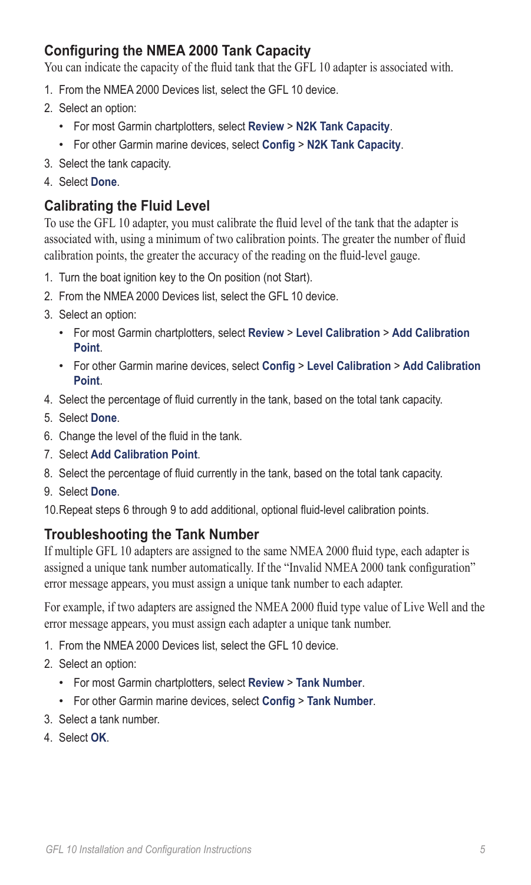## **Configuring the NMEA 2000 Tank Capacity**

You can indicate the capacity of the fluid tank that the GFL 10 adapter is associated with.

- 1. From the NMEA 2000 Devices list, select the GFL 10 device.
- 2. Select an option:
	- For most Garmin chartplotters, select **Review** > **N2K Tank Capacity**. •
	- For other Garmin marine devices, select **Config** > **N2K Tank Capacity**. •
- 3. Select the tank capacity.
- 4. Select **Done**.

### **Calibrating the Fluid Level**

To use the GFL 10 adapter, you must calibrate the fluid level of the tank that the adapter is associated with, using a minimum of two calibration points. The greater the number of fluid calibration points, the greater the accuracy of the reading on the fluid-level gauge.

- 1. Turn the boat ignition key to the On position (not Start).
- 2. From the NMEA 2000 Devices list, select the GFL 10 device.
- 3. Select an option:
	- For most Garmin chartplotters, select **Review** > **Level Calibration** > **Add Calibration Point**.
	- For other Garmin marine devices, select **Config** > **Level Calibration** > **Add Calibration Point**.
- 4. Select the percentage of fluid currently in the tank, based on the total tank capacity.
- 5. Select **Done**.
- 6. Change the level of the fluid in the tank.
- 7. Select **Add Calibration Point**.
- 8. Select the percentage of fluid currently in the tank, based on the total tank capacity.
- 9. Select **Done**.

10. Repeat steps 6 through 9 to add additional, optional fluid-level calibration points.

### **Troubleshooting the Tank Number**

If multiple GFL 10 adapters are assigned to the same NMEA 2000 fluid type, each adapter is assigned a unique tank number automatically. If the "Invalid NMEA 2000 tank configuration" error message appears, you must assign a unique tank number to each adapter.

For example, if two adapters are assigned the NMEA 2000 fluid type value of Live Well and the error message appears, you must assign each adapter a unique tank number.

- 1. From the NMEA 2000 Devices list, select the GFL 10 device.
- 2. Select an option:
	- For most Garmin chartplotters, select **Review** > **Tank Number**. •
	- For other Garmin marine devices, select **Config** > **Tank Number**. •
- 3. Select a tank number.
- 4. Select **OK**.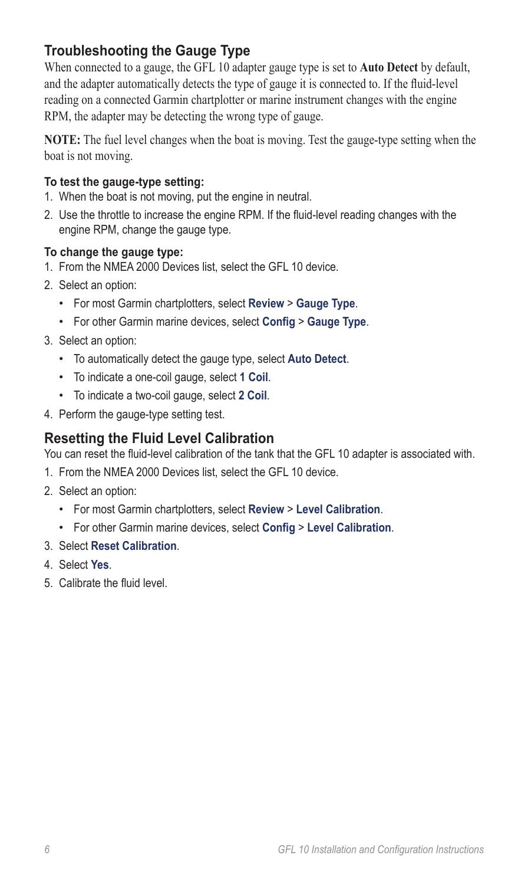## **Troubleshooting the Gauge Type**

When connected to a gauge, the GFL 10 adapter gauge type is set to **Auto Detect** by default, and the adapter automatically detects the type of gauge it is connected to. If the fluid-level reading on a connected Garmin chartplotter or marine instrument changes with the engine RPM, the adapter may be detecting the wrong type of gauge.

**NOTE:** The fuel level changes when the boat is moving. Test the gauge-type setting when the boat is not moving.

#### **To test the gauge-type setting:**

- 1. When the boat is not moving, put the engine in neutral.
- 2. Use the throttle to increase the engine RPM. If the fluid-level reading changes with the engine RPM, change the gauge type.

#### **To change the gauge type:**

- 1. From the NMEA 2000 Devices list, select the GFL 10 device.
- 2. Select an option:
	- For most Garmin chartplotters, select **Review** > **Gauge Type**. •
	- For other Garmin marine devices, select **Config** > **Gauge Type**. •
- 3. Select an option:
	- To automatically detect the gauge type, select **Auto Detect**. •
	- To indicate a one-coil gauge, select **1 Coil**. •
	- To indicate a two-coil gauge, select **2 Coil**. •
- 4. Perform the gauge-type setting test.

### **Resetting the Fluid Level Calibration**

You can reset the fluid-level calibration of the tank that the GFL 10 adapter is associated with.

- 1. From the NMEA 2000 Devices list, select the GFL 10 device.
- 2. Select an option:
	- For most Garmin chartplotters, select **Review** > **Level Calibration**. •
	- For other Garmin marine devices, select **Config** > **Level Calibration**. •
- 3. Select **Reset Calibration**.
- 4. Select **Yes**.
- 5. Calibrate the fluid level.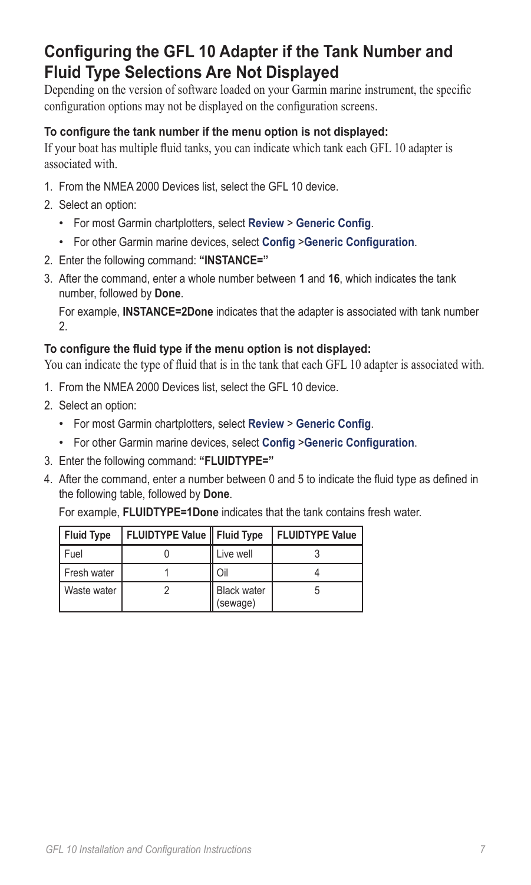# **Configuring the GFL 10 Adapter if the Tank Number and Fluid Type Selections Are Not Displayed**

Depending on the version of software loaded on your Garmin marine instrument, the specific configuration options may not be displayed on the configuration screens.

#### **To configure the tank number if the menu option is not displayed:**

If your boat has multiple fluid tanks, you can indicate which tank each GFL 10 adapter is associated with.

- 1. From the NMEA 2000 Devices list, select the GFL 10 device.
- 2. Select an option:
	- For most Garmin chartplotters, select **Review** > **Generic Config**. •
	- For other Garmin marine devices, select **Config** >**Generic Configuration**. •
- 2. Enter the following command: **"INSTANCE="**
- 3. After the command, enter a whole number between **1** and **16**, which indicates the tank number, followed by **Done**.

For example, **INSTANCE=2Done** indicates that the adapter is associated with tank number 2.

#### **To configure the fluid type if the menu option is not displayed:**

You can indicate the type of fluid that is in the tank that each GFL 10 adapter is associated with.

- 1. From the NMEA 2000 Devices list, select the GFL 10 device.
- 2. Select an option:
	- For most Garmin chartplotters, select **Review** > **Generic Config**. •
	- For other Garmin marine devices, select **Config** >**Generic Configuration**. •
- 3. Enter the following command: **"FLUIDTYPE="**
- 4. After the command, enter a number between 0 and 5 to indicate the fluid type as defined in the following table, followed by **Done**.

For example, **FLUIDTYPE=1Done** indicates that the tank contains fresh water.

| <b>Fluid Type</b> | FLUIDTYPE Value   Fluid Type |                                | <b>FLUIDTYPE Value</b> |
|-------------------|------------------------------|--------------------------------|------------------------|
| Fuel              |                              | Live well                      |                        |
| Fresh water       |                              | Oil                            |                        |
| Waste water       |                              | <b>Black water</b><br>(sewage) |                        |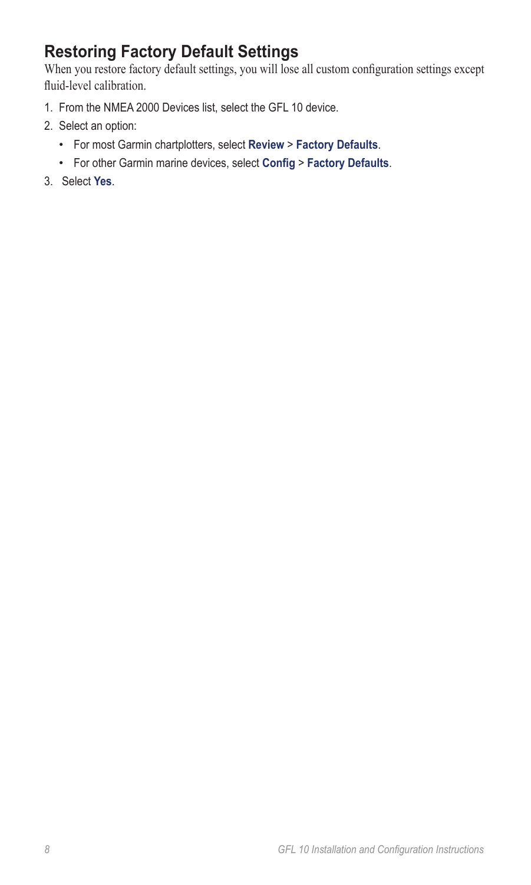# **Restoring Factory Default Settings**

When you restore factory default settings, you will lose all custom configuration settings except fluid-level calibration.

- 1. From the NMEA 2000 Devices list, select the GFL 10 device.
- 2. Select an option:
	- For most Garmin chartplotters, select **Review** > **Factory Defaults**. •
	- For other Garmin marine devices, select **Config** > **Factory Defaults**. •
- 3. Select **Yes**.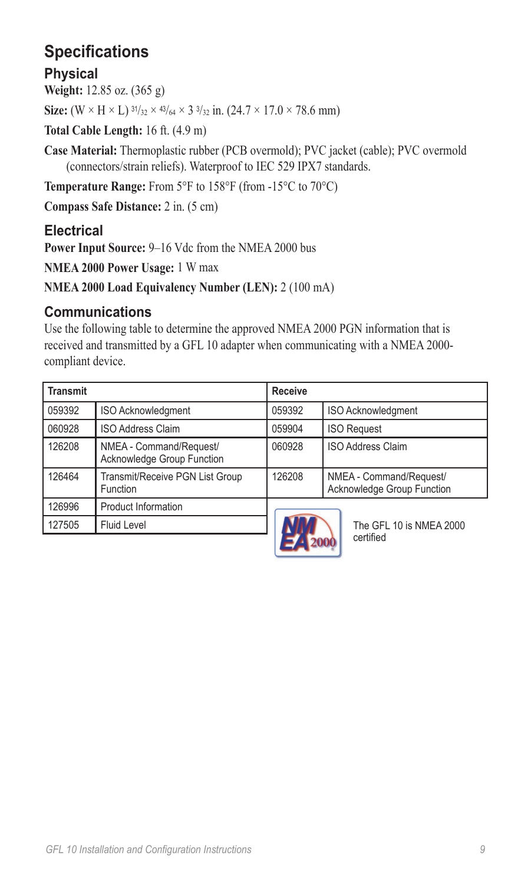# **Specifications**

### **Physical**

**Weight:** 12.85 oz. (365 g)

**Size:**  $(W \times H \times L)$   $\frac{31}{32} \times \frac{43}{64} \times 3\frac{3}{32}$  in.  $(24.7 \times 17.0 \times 78.6$  mm)

**Total Cable Length:** 16 ft. (4.9 m)

**Case Material:** Thermoplastic rubber (PCB overmold); PVC jacket (cable); PVC overmold (connectors/strain reliefs). Waterproof to IEC 529 IPX7 standards.

**Temperature Range:** From 5°F to 158°F (from -15°C to 70°C)

**Compass Safe Distance:** 2 in. (5 cm)

## **Electrical**

**Power Input Source:** 9–16 Vdc from the NMEA 2000 bus

**NMEA 2000 Power Usage:** 1 W max

**NMEA 2000 Load Equivalency Number (LEN):** 2 (100 mA)

### **Communications**

Use the following table to determine the approved NMEA 2000 PGN information that is received and transmitted by a GFL 10 adapter when communicating with a NMEA 2000 compliant device.

| <b>Transmit</b> |                                                       | <b>Receive</b>                                                  |                    |  |
|-----------------|-------------------------------------------------------|-----------------------------------------------------------------|--------------------|--|
| 059392          | <b>ISO Acknowledgment</b>                             | 059392                                                          | ISO Acknowledgment |  |
| 060928          | <b>ISO Address Claim</b>                              |                                                                 | <b>ISO Request</b> |  |
| 126208          | NMEA - Command/Request/<br>Acknowledge Group Function | 060928                                                          | ISO Address Claim  |  |
| 126464          | Transmit/Receive PGN List Group<br>Function           | 126208<br>NMEA - Command/Request/<br>Acknowledge Group Function |                    |  |
| 126996          | <b>Product Information</b>                            | The GFL 10 is NMEA 2000                                         |                    |  |
| 127505          | <b>Fluid Level</b>                                    |                                                                 |                    |  |



certified